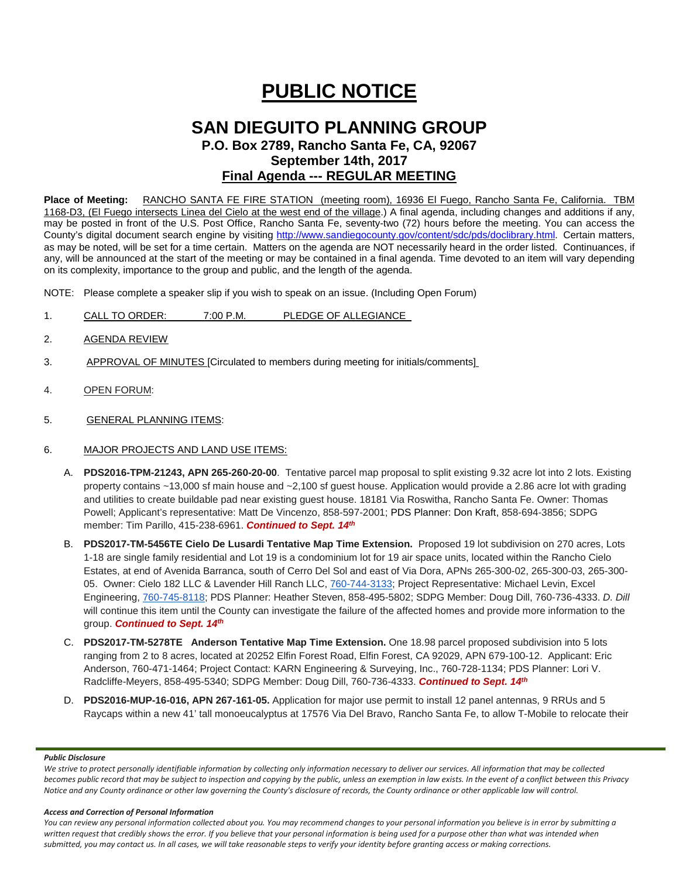# **PUBLIC NOTICE**

## **SAN DIEGUITO PLANNING GROUP P.O. Box 2789, Rancho Santa Fe, CA, 92067 September 14th, 2017 Final Agenda --- REGULAR MEETING**

**Place of Meeting:** RANCHO SANTA FE FIRE STATION (meeting room), 16936 El Fuego, Rancho Santa Fe, California. TBM 1168-D3, (El Fuego intersects Linea del Cielo at the west end of the village.) A final agenda, including changes and additions if any, may be posted in front of the U.S. Post Office, Rancho Santa Fe, seventy-two (72) hours before the meeting. You can access the County's digital document search engine by visiting<http://www.sandiegocounty.gov/content/sdc/pds/doclibrary.html>. Certain matters, as may be noted, will be set for a time certain. Matters on the agenda are NOT necessarily heard in the order listed. Continuances, if any, will be announced at the start of the meeting or may be contained in a final agenda. Time devoted to an item will vary depending on its complexity, importance to the group and public, and the length of the agenda.

NOTE: Please complete a speaker slip if you wish to speak on an issue. (Including Open Forum)

- 1. CALL TO ORDER: 7:00 P.M. PLEDGE OF ALLEGIANCE
- 2. AGENDA REVIEW
- 3. APPROVAL OF MINUTES [Circulated to members during meeting for initials/comments]
- 4. OPEN FORUM:
- 5. GENERAL PLANNING ITEMS:

#### 6. MAJOR PROJECTS AND LAND USE ITEMS:

- A. **PDS2016-TPM-21243, APN 265-260-20-00**. Tentative parcel map proposal to split existing 9.32 acre lot into 2 lots. Existing property contains ~13,000 sf main house and ~2,100 sf guest house. Application would provide a 2.86 acre lot with grading and utilities to create buildable pad near existing guest house. 18181 Via Roswitha, Rancho Santa Fe. Owner: Thomas Powell; Applicant's representative: Matt De Vincenzo, 858-597-2001; PDS Planner: Don Kraft, 858-694-3856; SDPG member: Tim Parillo, [415-238-6961.](tel:415-238-6961) *Continued to Sept. 14th*
- B. **PDS2017-TM-5456TE Cielo De Lusardi Tentative Map Time Extension.** Proposed 19 lot subdivision on 270 acres, Lots 1-18 are single family residential and Lot 19 is a condominium lot for 19 air space units, located within the Rancho Cielo Estates, at end of Avenida Barranca, south of Cerro Del Sol and east of Via Dora, APNs 265-300-02, 265-300-03, 265-300- 05. Owner: Cielo 182 LLC & Lavender Hill Ranch LLC, [760-744-3133;](tel:(760)%20744-3133) Project Representative: Michael Levin, Excel Engineering, [760-745-8118;](tel:(760)%20745-8118) PDS Planner: Heather Steven, [858-495-5802;](tel:(858)%20495-5802) SDPG Member: Doug Dill, [760-736-4333.](tel:(760)%20736-4333) *D. Dill* will continue this item until the County can investigate the failure of the affected homes and provide more information to the group. *Continued to Sept. 14th*
- C. **PDS2017-TM-5278TE Anderson Tentative Map Time Extension.** One 18.98 parcel proposed subdivision into 5 lots ranging from 2 to 8 acres, located at 20252 Elfin Forest Road, Elfin Forest, CA 92029, APN 679-100-12. Applicant: Eric Anderson, 760-471-1464; Project Contact: KARN Engineering & Surveying, Inc., 760-728-1134; PDS Planner: Lori V. Radcliffe-Meyers, 858-495-5340; SDPG Member: Doug Dill, 760-736-4333. *Continued to Sept. 14th*
- D. **PDS2016-MUP-16-016, APN 267-161-05.** Application for major use permit to install 12 panel antennas, 9 RRUs and 5 Raycaps within a new 41' tall monoeucalyptus at 17576 Via Del Bravo, Rancho Santa Fe, to allow T-Mobile to relocate their

#### *Public Disclosure*

*We strive to protect personally identifiable information by collecting only information necessary to deliver our services. All information that may be collected becomes public record that may be subject to inspection and copying by the public, unless an exemption in law exists. In the event of a conflict between this Privacy Notice and any County ordinance or other law governing the County's disclosure of records, the County ordinance or other applicable law will control.*

#### *Access and Correction of Personal Information*

*You can review any personal information collected about you. You may recommend changes to your personal information you believe is in error by submitting a*  written request that credibly shows the error. If you believe that your personal information is being used for a purpose other than what was intended when *submitted, you may contact us. In all cases, we will take reasonable steps to verify your identity before granting access or making corrections.*